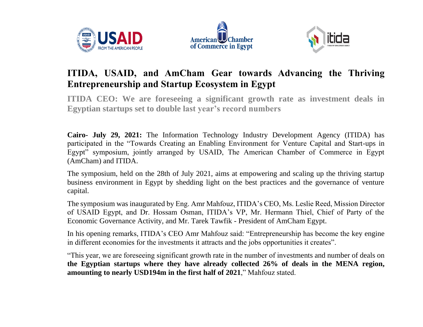





## **ITIDA, USAID, and AmCham Gear towards Advancing the Thriving Entrepreneurship and Startup Ecosystem in Egypt**

**ITIDA CEO: We are foreseeing a significant growth rate as investment deals in Egyptian startups set to double last year's record numbers**

**Cairo- July 29, 2021:** The Information Technology Industry Development Agency (ITIDA) has participated in the "Towards Creating an Enabling Environment for Venture Capital and Start-ups in Egypt" symposium, jointly arranged by USAID, The American Chamber of Commerce in Egypt (AmCham) and ITIDA.

The symposium, held on the 28th of July 2021, aims at empowering and scaling up the thriving startup business environment in Egypt by shedding light on the best practices and the governance of venture capital.

The symposium was inaugurated by Eng. Amr Mahfouz, ITIDA's CEO, Ms. Leslie Reed, Mission Director of USAID Egypt, and Dr. Hossam Osman, ITIDA's VP, Mr. Hermann Thiel, Chief of Party of the Economic Governance Activity, and Mr. Tarek Tawfik - President of AmCham Egypt.

In his opening remarks, ITIDA's CEO Amr Mahfouz said: "Entrepreneurship has become the key engine in different economies for the investments it attracts and the jobs opportunities it creates".

"This year, we are foreseeing significant growth rate in the number of investments and number of deals on **the Egyptian startups where they have already collected 26% of deals in the MENA region, amounting to nearly USD194m in the first half of 2021**," Mahfouz stated.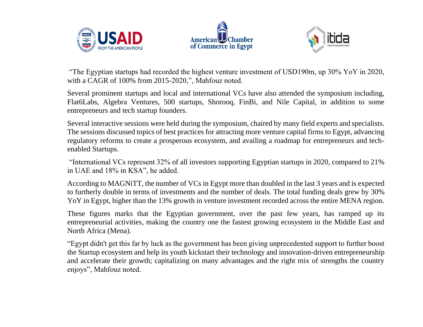





"The Egyptian startups had recorded the highest venture investment of USD190m, up 30% YoY in 2020, with a CAGR of 100% from 2015-2020,", Mahfouz noted.

Several prominent startups and local and international VCs have also attended the symposium including, Flat6Labs, Algebra Ventures, 500 startups, Shorooq, FinBi, and Nile Capital, in addition to some entrepreneurs and tech startup founders.

Several interactive sessions were held during the symposium, chaired by many field experts and specialists. The sessions discussed topics of best practices for attracting more venture capital firms to Egypt, advancing regulatory reforms to create a prosperous ecosystem, and availing a roadmap for entrepreneurs and techenabled Startups.

"International VCs represent 32% of all investors supporting Egyptian startups in 2020, compared to 21% in UAE and 18% in KSA", he added.

According to MAGNiTT, the number of VCs in Egypt more than doubled in the last 3 years and is expected to furtherly double in terms of investments and the number of deals. The total funding deals grew by 30% YoY in Egypt, higher than the 13% growth in venture investment recorded across the entire MENA region.

These figures marks that the Egyptian government, over the past few years, has ramped up its entrepreneurial activities, making the country one the fastest growing ecosystem in the Middle East and North Africa (Mena).

"Egypt didn't get this far by luck as the government has been giving unprecedented support to further boost the Startup ecosystem and help its youth kickstart their technology and innovation-driven entrepreneurship and accelerate their growth; capitalizing on many advantages and the right mix of strengths the country enjoys", Mahfouz noted.